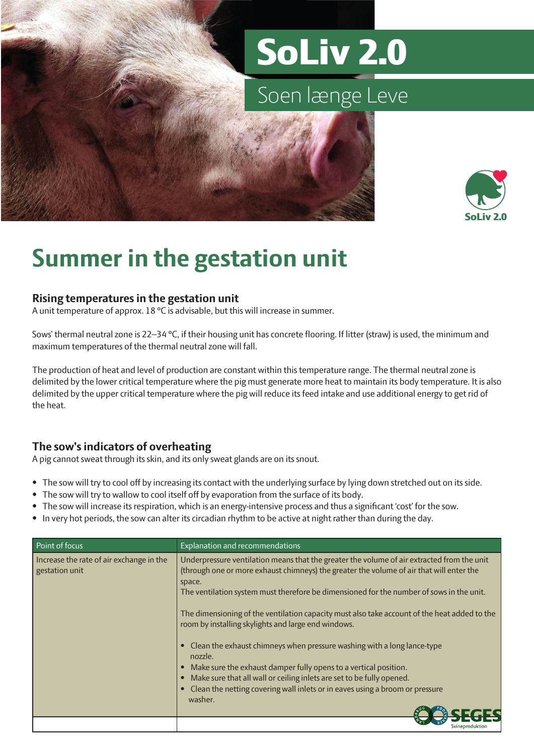# SoLiv 2.0

## Soen længe Leve



### **Summer in the gestation unit**

#### **Rising temperatures in the gestation unit**

A unit temperature of approx. 18 °C is advisable, but this will increase in summer.

Sows' thermal neutral zone is 22–34 °C, if their housing unit has concrete flooring. If litter (straw) is used, the minimum and maximum temperatures of the thermal neutral zone will fall.

The production of heat and level of production are constant within this temperature range. The thermal neutral zone is delimited by the lower critical temperature where the pig must generate more heat to maintain its body temperature. It is also delimited by the upper critical temperature where the pig will reduce its feed intake and use additional energy to get rid of the heat.

### **The sow's indicators of overheating**

A pig cannot sweat through its skin, and its only sweat glands are on its snout.

- The sow will try to cool off by increasing its contact with the underlying surface by lying down stretched out on its side.
- The sow will try to wallow to cool itself off by evaporation from the surface of its body.
- The sow will increase its respiration, which is an energy-intensive process and thus a significant 'cost' for the sow.
- In very hot periods, the sow can alter its circadian rhythm to be active at night rather than during the day.

| Point of focus                                             | Explanation and recommendations                                                                                                                                                                                                                                                                                                                                                                                                                                                                                                                                                                                                                                                                                                                                                       |
|------------------------------------------------------------|---------------------------------------------------------------------------------------------------------------------------------------------------------------------------------------------------------------------------------------------------------------------------------------------------------------------------------------------------------------------------------------------------------------------------------------------------------------------------------------------------------------------------------------------------------------------------------------------------------------------------------------------------------------------------------------------------------------------------------------------------------------------------------------|
| Increase the rate of air exchange in the<br>gestation unit | Underpressure ventilation means that the greater the volume of air extracted from the unit<br>(through one or more exhaust chimneys) the greater the volume of air that will enter the<br>space.<br>The ventilation system must therefore be dimensioned for the number of sows in the unit.<br>The dimensioning of the ventilation capacity must also take account of the heat added to the<br>room by installing skylights and large end windows.<br>• Clean the exhaust chimneys when pressure washing with a long lance-type<br>nozzle.<br>Make sure the exhaust damper fully opens to a vertical position.<br>Make sure that all wall or ceiling inlets are set to be fully opened.<br>• Clean the netting covering wall inlets or in eaves using a broom or pressure<br>washer. |
|                                                            | Svineproduktion                                                                                                                                                                                                                                                                                                                                                                                                                                                                                                                                                                                                                                                                                                                                                                       |